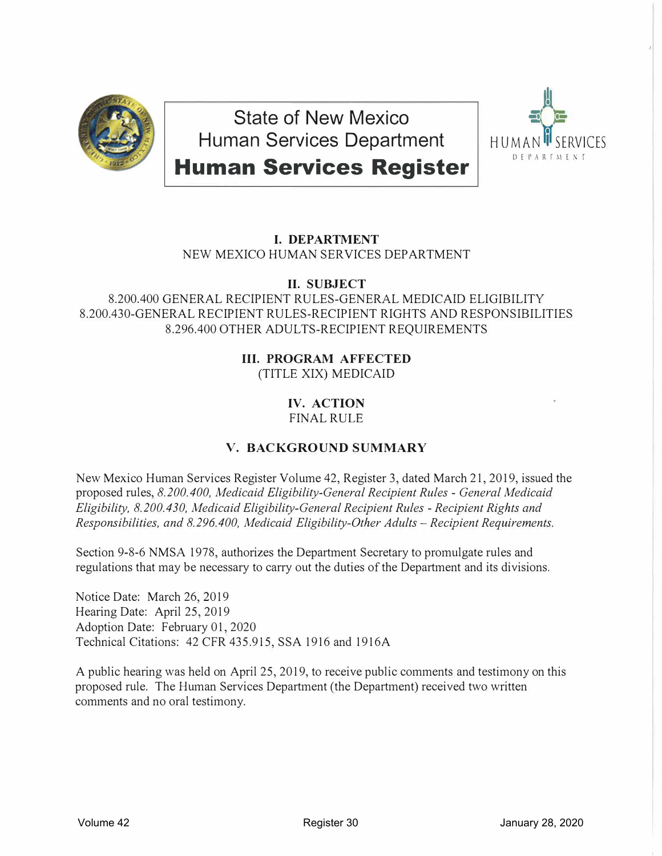

**State of New Mexico Human Services Department** 



**Human Services Register** 

# **I. DEPARTMENT**

NEW MEXICO HUMAN SERVICES DEPARTMENT

## **II. SUBJECT**

8.200.400 GENERAL RECIPIENT RULES-GENERAL MEDICAID ELIGIBILITY 8.200.430-GENERAL RECIPIENT RULES-RECIPIENT RIGHTS AND RESPONSIBILITIES 8.296.400 OTHER ADULTS-RECIPIENT REQUIREMENTS

### **III. PROGRAM AFFECTED** (TITLE XIX) MEDICAID

### **IV. ACTION** FINAL RULE

# **V. BACKGROUND SUMMARY**

New Mexico Human Services Register Volume 42, Register 3, dated March 21, 2019, issued the proposed rules, *8.200.400, Medicaid Eligibility-General Recipient Rules* - *General Medicaid Eligibility, 8.200.430, Medicaid Eligibility-General Recipient Rules* - *Recipient Rights and Responsibilities, and 8.296.400, Medicaid Eligibility-Other Adults - Recipient Requirements.* 

Section 9-8-6 NMSA 1978, authorizes the Department Secretary to promulgate rules and regulations that may be necessary to carry out the duties of the Department and its divisions.

Notice Date: March 26, 2019 Hearing Date: April 25, 2019 Adoption Date: February 01, 2020 Technical Citations: 42 CFR 435.915, SSA 1916 and 1916A

A public hearing was held on April 25, 2019, to receive public comments and testimony on this proposed rule. The Human Services Department (the Department) received two written comments and no oral testimony.